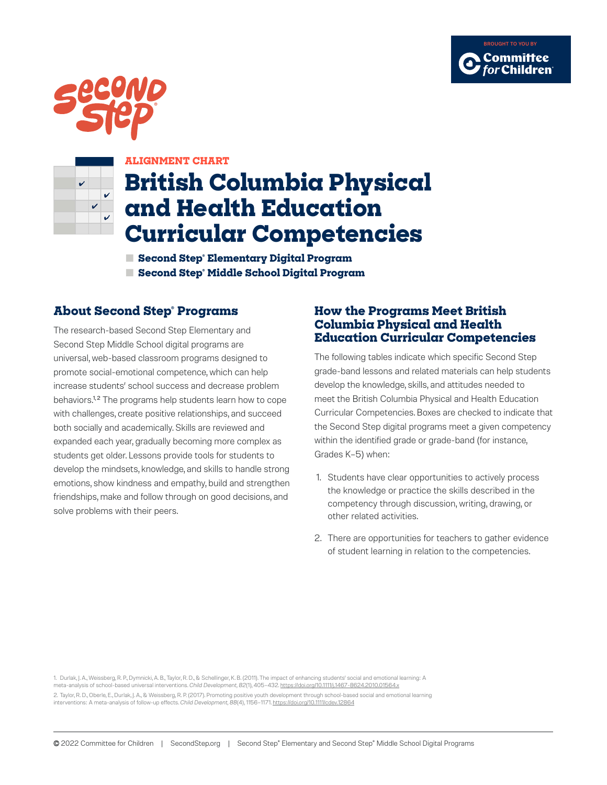





## **ALIGNMENT CHART**

# **British Columbia Physical and Health Education Curricular Competencies**

**■ Second Step® Elementary Digital Program ■ Second Step® Middle School Digital Program**

# **About Second Step® Programs**

The research-based Second Step Elementary and Second Step Middle School digital programs are universal, web-based classroom programs designed to promote social-emotional competence, which can help increase students' school success and decrease problem behaviors.<sup>1,2</sup> The programs help students learn how to cope with challenges, create positive relationships, and succeed both socially and academically. Skills are reviewed and expanded each year, gradually becoming more complex as students get older. Lessons provide tools for students to develop the mindsets, knowledge, and skills to handle strong emotions, show kindness and empathy, build and strengthen friendships, make and follow through on good decisions, and solve problems with their peers.

# **How the Programs Meet British Columbia Physical and Health Education Curricular Competencies**

The following tables indicate which specific Second Step grade-band lessons and related materials can help students develop the knowledge, skills, and attitudes needed to meet the British Columbia Physical and Health Education Curricular Competencies. Boxes are checked to indicate that the Second Step digital programs meet a given competency within the identified grade or grade-band (for instance, Grades K–5) when:

- 1. Students have clear opportunities to actively process the knowledge or practice the skills described in the competency through discussion, writing, drawing, or other related activities.
- 2. There are opportunities for teachers to gather evidence of student learning in relation to the competencies.

1. Durlak, J. A., Weissberg, R. P., Dymnicki, A. B., Taylor, R. D., & Schellinger, K. B. (2011). The impact of enhancing students' social and emotional learning: A meta-analysis of school-based universal interventions. *Child Development, 82*(1), 405–432. <https://doi.org/10.1111/j.1467-8624.2010.01564.x> 2. Taylor, R. D., Oberle, E., Durlak, J. A., & Weissberg, R. P. (2017). Promoting positive youth development through school-based social and emotional learning interventions: A meta-analysis of follow-up effects. *Child Development, 88*(4), 1156–1171.<https://doi.org/10.1111/cdev.12864>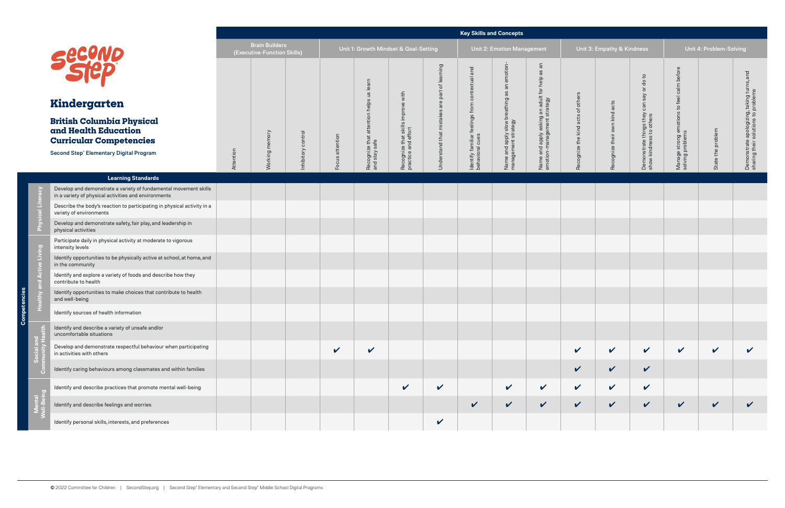ē,

|                                                                                                                                       |           |                                                      |                   |                 |                                                      |                                                           |                                   | <b>Key Skills and Concepts</b>                            |                                                               |                                                                        |                            |                               |                                                            |                                            |                         |                                                                                       |
|---------------------------------------------------------------------------------------------------------------------------------------|-----------|------------------------------------------------------|-------------------|-----------------|------------------------------------------------------|-----------------------------------------------------------|-----------------------------------|-----------------------------------------------------------|---------------------------------------------------------------|------------------------------------------------------------------------|----------------------------|-------------------------------|------------------------------------------------------------|--------------------------------------------|-------------------------|---------------------------------------------------------------------------------------|
|                                                                                                                                       |           | <b>Brain Builders</b><br>(Executive-Function Skills) |                   |                 | Unit 1: Growth Mindset & Goal-Setting                |                                                           |                                   |                                                           | <b>Unit 2: Emotion Management</b>                             |                                                                        |                            | Unit 3: Empathy & Kindness    |                                                            |                                            | Unit 4: Problem-Solving |                                                                                       |
| <b>secono</b>                                                                                                                         |           |                                                      |                   |                 | learn<br>$\frac{3}{2}$                               |                                                           | of learning                       | and<br>contextual                                         | iotion<br>$rac{E}{\epsilon}$<br>$\overline{\mathsf{a}}$<br>αs | $\overline{a}$<br>æ                                                    |                            |                               | $\overline{c}$<br>$\frac{8}{5}$<br>$\overleftarrow{\circ}$ | before<br>calm                             |                         | and                                                                                   |
| Kindergarten                                                                                                                          |           |                                                      |                   |                 |                                                      |                                                           |                                   |                                                           |                                                               |                                                                        | others                     |                               | Say<br>can                                                 | to feel                                    |                         |                                                                                       |
| <b>British Columbia Physical</b><br>and Health Education<br><b>Curricular Competencies</b><br>Second Step® Elementary Digital Program |           | Working memory                                       | nhibitory control | Focus attention | attention helps<br>Recognize that a<br>and stay safe | Recognize that skills improve with<br>practice and effort | Understand that mistakes are part | feelings from a<br>Identify familiar f<br>behavioral cues | Name and apply slow breathing<br>management strategy          | Name and apply asking an adult for help<br>emotion-management strategy | Recognize the kind acts of | Recognize their own kind acts | Demonstrate things they<br>show kindness to others         | Manage strong emotions<br>solving problems | State the problem       | apologizing, taking turns,<br>solutions to problems<br>Demonstrate<br>sharing their s |
|                                                                                                                                       | Attention |                                                      |                   |                 |                                                      |                                                           |                                   |                                                           |                                                               |                                                                        |                            |                               |                                                            |                                            |                         |                                                                                       |
| <b>Learning Standards</b>                                                                                                             |           |                                                      |                   |                 |                                                      |                                                           |                                   |                                                           |                                                               |                                                                        |                            |                               |                                                            |                                            |                         |                                                                                       |
| Develop and demonstrate a variety of fundamental movement skills<br>in a variety of physical activities and environments              |           |                                                      |                   |                 |                                                      |                                                           |                                   |                                                           |                                                               |                                                                        |                            |                               |                                                            |                                            |                         |                                                                                       |
| Describe the body's reaction to participating in physical activity in a<br>variety of environments                                    |           |                                                      |                   |                 |                                                      |                                                           |                                   |                                                           |                                                               |                                                                        |                            |                               |                                                            |                                            |                         |                                                                                       |
| Develop and demonstrate safety, fair play, and leadership in<br>physical activities                                                   |           |                                                      |                   |                 |                                                      |                                                           |                                   |                                                           |                                                               |                                                                        |                            |                               |                                                            |                                            |                         |                                                                                       |
| Participate daily in physical activity at moderate to vigorous<br>intensity levels                                                    |           |                                                      |                   |                 |                                                      |                                                           |                                   |                                                           |                                                               |                                                                        |                            |                               |                                                            |                                            |                         |                                                                                       |
| Identify opportunities to be physically active at school, at home, and<br>in the community                                            |           |                                                      |                   |                 |                                                      |                                                           |                                   |                                                           |                                                               |                                                                        |                            |                               |                                                            |                                            |                         |                                                                                       |
| Identify and explore a variety of foods and describe how they<br>contribute to health                                                 |           |                                                      |                   |                 |                                                      |                                                           |                                   |                                                           |                                                               |                                                                        |                            |                               |                                                            |                                            |                         |                                                                                       |
| Identify opportunities to make choices that contribute to health<br>and well-being                                                    |           |                                                      |                   |                 |                                                      |                                                           |                                   |                                                           |                                                               |                                                                        |                            |                               |                                                            |                                            |                         |                                                                                       |
| Identify sources of health information                                                                                                |           |                                                      |                   |                 |                                                      |                                                           |                                   |                                                           |                                                               |                                                                        |                            |                               |                                                            |                                            |                         |                                                                                       |
| Identify and describe a variety of unsafe and/or<br>uncomfortable situations                                                          |           |                                                      |                   |                 |                                                      |                                                           |                                   |                                                           |                                                               |                                                                        |                            |                               |                                                            |                                            |                         |                                                                                       |
| Develop and demonstrate respectful behaviour when participating<br>in activities with others                                          |           |                                                      |                   | $\checkmark$    | $\checkmark$                                         |                                                           |                                   |                                                           |                                                               |                                                                        | $\checkmark$               | $\checkmark$                  | $\checkmark$                                               | $\checkmark$                               | $\checkmark$            | $\checkmark$                                                                          |
| Identify caring behaviours among classmates and within families                                                                       |           |                                                      |                   |                 |                                                      |                                                           |                                   |                                                           |                                                               |                                                                        | $\checkmark$               | $\checkmark$                  | $\checkmark$                                               |                                            |                         |                                                                                       |
| Identify and describe practices that promote mental well-being                                                                        |           |                                                      |                   |                 |                                                      | $\checkmark$                                              | $\checkmark$                      |                                                           | $\checkmark$                                                  | $\mathbf v$                                                            | $\checkmark$               | $\checkmark$                  | $\checkmark$                                               |                                            |                         |                                                                                       |
| Identify and describe feelings and worries                                                                                            |           |                                                      |                   |                 |                                                      |                                                           |                                   | $\checkmark$                                              | $\checkmark$                                                  | $\checkmark$                                                           | $\checkmark$               | $\mathbf v$                   | $\checkmark$                                               | $\checkmark$                               | $\checkmark$            |                                                                                       |
| Identify personal skills, interests, and preferences                                                                                  |           |                                                      |                   |                 |                                                      |                                                           | $\checkmark$                      |                                                           |                                                               |                                                                        |                            |                               |                                                            |                                            |                         |                                                                                       |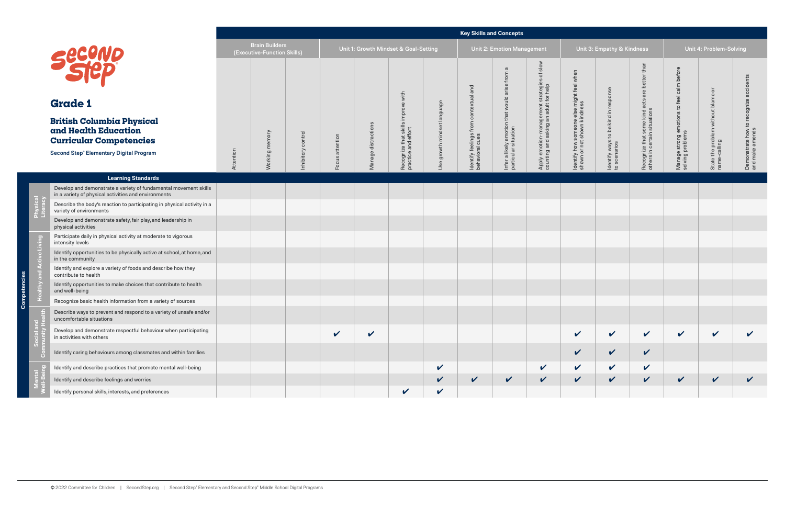ု့

|                      |                                                                                                                                       |           |                                                      |                   |                 |                     |                                                           |                            | <b>Key Skills and Concepts</b>            |                                                                 |                                                                              |                                                                          |                                                      |                                                               |                                                                |                                                 |                                                       |
|----------------------|---------------------------------------------------------------------------------------------------------------------------------------|-----------|------------------------------------------------------|-------------------|-----------------|---------------------|-----------------------------------------------------------|----------------------------|-------------------------------------------|-----------------------------------------------------------------|------------------------------------------------------------------------------|--------------------------------------------------------------------------|------------------------------------------------------|---------------------------------------------------------------|----------------------------------------------------------------|-------------------------------------------------|-------------------------------------------------------|
|                      |                                                                                                                                       |           | <b>Brain Builders</b><br>(Executive-Function Skills) |                   |                 |                     | Unit 1: Growth Mindset & Goal-Setting                     |                            |                                           | <b>Unit 2: Emotion Management</b>                               |                                                                              |                                                                          | Unit 3: Empathy & Kindness                           |                                                               |                                                                | Unit 4: Problem-Solving                         |                                                       |
|                      | <b>Secono</b>                                                                                                                         |           |                                                      |                   |                 |                     |                                                           |                            | and                                       | $\sigma$<br>from                                                | slow<br>$\sigma$                                                             |                                                                          |                                                      | than<br>are better                                            |                                                                | $\overline{\sigma}$                             | accidents                                             |
|                      | <b>Grade 1</b>                                                                                                                        |           |                                                      |                   |                 |                     |                                                           | $\circ$                    | contextual                                |                                                                 |                                                                              |                                                                          |                                                      |                                                               |                                                                |                                                 |                                                       |
|                      | <b>British Columbia Physical</b><br>and Health Education<br><b>Curricular Competencies</b><br>Second Step® Elementary Digital Program |           | Working memory                                       | nhibitory control | Focus attention | Manage distractions | Recognize that skills improve with<br>practice and effort | Use growth mindset languag | Identify feelings from<br>behavioral cues | Infer a likely emotion that would arise<br>particular situation | Apply emotion-management strategies<br>counting and asking an adult for help | ldentify how someone else might feel when<br>shown or not shown kindness | ldentify ways to be kind in response<br>to scenarios | Recognize that some kind acts<br>others in certain situations | Manage strong emotions to feel calm before<br>solving problems | State the problem without blame<br>name-calling | to recognize<br>Demonstrate how to<br>and make amends |
|                      |                                                                                                                                       | Attention |                                                      |                   |                 |                     |                                                           |                            |                                           |                                                                 |                                                                              |                                                                          |                                                      |                                                               |                                                                |                                                 |                                                       |
|                      | <b>Learning Standards</b>                                                                                                             |           |                                                      |                   |                 |                     |                                                           |                            |                                           |                                                                 |                                                                              |                                                                          |                                                      |                                                               |                                                                |                                                 |                                                       |
|                      | Develop and demonstrate a variety of fundamental movement skills<br>in a variety of physical activities and environments              |           |                                                      |                   |                 |                     |                                                           |                            |                                           |                                                                 |                                                                              |                                                                          |                                                      |                                                               |                                                                |                                                 |                                                       |
| $\tilde{\epsilon}$ : | Describe the body's reaction to participating in physical activity in a<br>variety of environments                                    |           |                                                      |                   |                 |                     |                                                           |                            |                                           |                                                                 |                                                                              |                                                                          |                                                      |                                                               |                                                                |                                                 |                                                       |
|                      | Develop and demonstrate safety, fair play, and leadership in<br>physical activities                                                   |           |                                                      |                   |                 |                     |                                                           |                            |                                           |                                                                 |                                                                              |                                                                          |                                                      |                                                               |                                                                |                                                 |                                                       |
|                      | Participate daily in physical activity at moderate to vigorous<br>intensity levels                                                    |           |                                                      |                   |                 |                     |                                                           |                            |                                           |                                                                 |                                                                              |                                                                          |                                                      |                                                               |                                                                |                                                 |                                                       |
| ctive Living         | Identify opportunities to be physically active at school, at home, and<br>in the community                                            |           |                                                      |                   |                 |                     |                                                           |                            |                                           |                                                                 |                                                                              |                                                                          |                                                      |                                                               |                                                                |                                                 |                                                       |
|                      | Identify and explore a variety of foods and describe how they<br>contribute to health                                                 |           |                                                      |                   |                 |                     |                                                           |                            |                                           |                                                                 |                                                                              |                                                                          |                                                      |                                                               |                                                                |                                                 |                                                       |
|                      | Identify opportunities to make choices that contribute to health<br>and well-being                                                    |           |                                                      |                   |                 |                     |                                                           |                            |                                           |                                                                 |                                                                              |                                                                          |                                                      |                                                               |                                                                |                                                 |                                                       |
|                      | Recognize basic health information from a variety of sources                                                                          |           |                                                      |                   |                 |                     |                                                           |                            |                                           |                                                                 |                                                                              |                                                                          |                                                      |                                                               |                                                                |                                                 |                                                       |
|                      | Describe ways to prevent and respond to a variety of unsafe and/or<br>uncomfortable situations                                        |           |                                                      |                   |                 |                     |                                                           |                            |                                           |                                                                 |                                                                              |                                                                          |                                                      |                                                               |                                                                |                                                 |                                                       |
|                      | Develop and demonstrate respectful behaviour when participating<br>in activities with others                                          |           |                                                      |                   | $\checkmark$    | $\checkmark$        |                                                           |                            |                                           |                                                                 |                                                                              | $\checkmark$                                                             | $\checkmark$                                         | $\checkmark$                                                  | $\checkmark$                                                   | $\mathbf v$                                     | V                                                     |
|                      | Identify caring behaviours among classmates and within families                                                                       |           |                                                      |                   |                 |                     |                                                           |                            |                                           |                                                                 |                                                                              | $\checkmark$                                                             | $\checkmark$                                         | $\checkmark$                                                  |                                                                |                                                 |                                                       |
|                      | Identify and describe practices that promote mental well-being                                                                        |           |                                                      |                   |                 |                     |                                                           | $\checkmark$               |                                           |                                                                 | $\checkmark$                                                                 | $\checkmark$                                                             | $\checkmark$                                         | $\checkmark$                                                  |                                                                |                                                 |                                                       |
|                      | Identify and describe feelings and worries                                                                                            |           |                                                      |                   |                 |                     |                                                           | $\checkmark$               | $\sqrt{2}$                                | $\checkmark$                                                    | $\checkmark$                                                                 | $\checkmark$                                                             | $\mathbf{v}$                                         | $\checkmark$                                                  | $\checkmark$                                                   | $\checkmark$                                    | V                                                     |
|                      | Identify personal skills, interests, and preferences                                                                                  |           |                                                      |                   |                 |                     | $\checkmark$                                              | $\mathbf{v}$               |                                           |                                                                 |                                                                              |                                                                          |                                                      |                                                               |                                                                |                                                 |                                                       |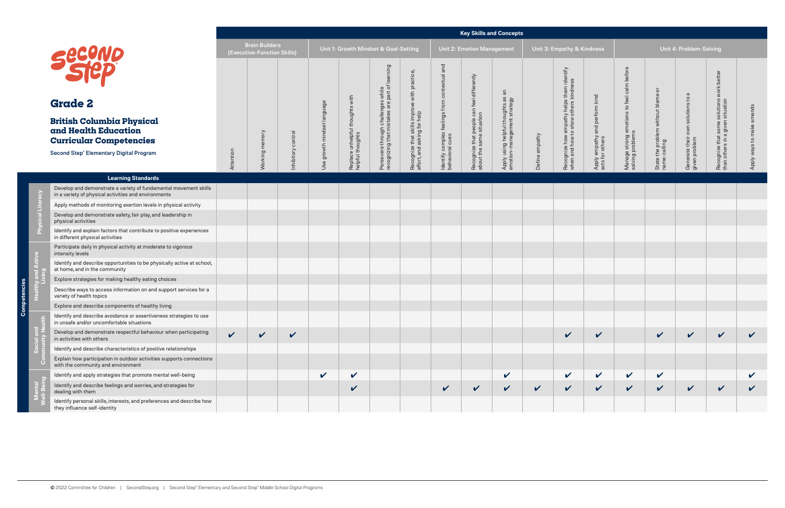pate  $Com$ 

|                                                                                                                                              |              |                                               |                   |                             |                                                     |                                                                                      |                                                                             |                                                                  | <b>Key Skills and Concepts</b>                                         |                                                                |                |                                                                                   |                                                   |                                                                |                                                    |                                                    |                                                                               |              |
|----------------------------------------------------------------------------------------------------------------------------------------------|--------------|-----------------------------------------------|-------------------|-----------------------------|-----------------------------------------------------|--------------------------------------------------------------------------------------|-----------------------------------------------------------------------------|------------------------------------------------------------------|------------------------------------------------------------------------|----------------------------------------------------------------|----------------|-----------------------------------------------------------------------------------|---------------------------------------------------|----------------------------------------------------------------|----------------------------------------------------|----------------------------------------------------|-------------------------------------------------------------------------------|--------------|
|                                                                                                                                              |              | Brain Builders<br>(Executive-Function Skills) |                   |                             |                                                     | Unit 1: Growth Mindset & Goal-Setting                                                |                                                                             |                                                                  | <b>Unit 2: Emotion Management</b>                                      |                                                                |                | Unit 3: Empathy & Kindness                                                        |                                                   |                                                                |                                                    | Unit 4: Problem-Solving                            |                                                                               |              |
| second                                                                                                                                       |              |                                               |                   |                             |                                                     |                                                                                      |                                                                             |                                                                  |                                                                        | $\overline{a}$                                                 |                |                                                                                   |                                                   |                                                                |                                                    |                                                    |                                                                               |              |
| <b>Grade 2</b>                                                                                                                               |              |                                               |                   |                             |                                                     |                                                                                      |                                                                             |                                                                  |                                                                        |                                                                |                |                                                                                   |                                                   |                                                                |                                                    |                                                    |                                                                               | ends         |
| <b>British Columbia Physical</b><br>and Health Education<br><b>Curricular Competencies</b><br><b>Second Step® Elementary Digital Program</b> | Attention    | memory<br>Working                             | nhibitory control | Use growth mindset language | Replace unhelpful thoughts with<br>helpful thoughts | Persevere through challenges while<br>recognizing that mistakes are part of learning | Recognize that skills improve with practice,<br>effort, and asking for help | ldentify complex feelings from contextual and<br>behavioral cues | Recognize that people can feel differently<br>about the same situation | Apply using helpful thoughts as<br>emotion-management strategy | Define empathy | Recognize how empathy helps them identify<br>when and how to show others kindness | Apply empathy and perform kind<br>acts for others | Manage strong emotions to feel calm before<br>solving problems | State the problem without blame or<br>name-calling | Generate their own solutions to a<br>given problem | Recognize that some solutions work better<br>than others in a given situation | ways         |
|                                                                                                                                              |              |                                               |                   |                             |                                                     |                                                                                      |                                                                             |                                                                  |                                                                        |                                                                |                |                                                                                   |                                                   |                                                                |                                                    |                                                    |                                                                               |              |
| <b>Learning Standards</b>                                                                                                                    |              |                                               |                   |                             |                                                     |                                                                                      |                                                                             |                                                                  |                                                                        |                                                                |                |                                                                                   |                                                   |                                                                |                                                    |                                                    |                                                                               |              |
| Develop and demonstrate a variety of fundamental movement skills<br>in a variety of physical activities and environments                     |              |                                               |                   |                             |                                                     |                                                                                      |                                                                             |                                                                  |                                                                        |                                                                |                |                                                                                   |                                                   |                                                                |                                                    |                                                    |                                                                               |              |
| Apply methods of monitoring exertion levels in physical activity                                                                             |              |                                               |                   |                             |                                                     |                                                                                      |                                                                             |                                                                  |                                                                        |                                                                |                |                                                                                   |                                                   |                                                                |                                                    |                                                    |                                                                               |              |
| Develop and demonstrate safety, fair play, and leadership in<br>physical activities                                                          |              |                                               |                   |                             |                                                     |                                                                                      |                                                                             |                                                                  |                                                                        |                                                                |                |                                                                                   |                                                   |                                                                |                                                    |                                                    |                                                                               |              |
| Identify and explain factors that contribute to positive experiences<br>in different physical activities                                     |              |                                               |                   |                             |                                                     |                                                                                      |                                                                             |                                                                  |                                                                        |                                                                |                |                                                                                   |                                                   |                                                                |                                                    |                                                    |                                                                               |              |
| Participate daily in physical activity at moderate to vigorous<br>intensity levels                                                           |              |                                               |                   |                             |                                                     |                                                                                      |                                                                             |                                                                  |                                                                        |                                                                |                |                                                                                   |                                                   |                                                                |                                                    |                                                    |                                                                               |              |
| Identify and describe opportunities to be physically active at school,<br>at home, and in the community                                      |              |                                               |                   |                             |                                                     |                                                                                      |                                                                             |                                                                  |                                                                        |                                                                |                |                                                                                   |                                                   |                                                                |                                                    |                                                    |                                                                               |              |
| Explore strategies for making healthy eating choices                                                                                         |              |                                               |                   |                             |                                                     |                                                                                      |                                                                             |                                                                  |                                                                        |                                                                |                |                                                                                   |                                                   |                                                                |                                                    |                                                    |                                                                               |              |
| Describe ways to access information on and support services for a<br>variety of health topics                                                |              |                                               |                   |                             |                                                     |                                                                                      |                                                                             |                                                                  |                                                                        |                                                                |                |                                                                                   |                                                   |                                                                |                                                    |                                                    |                                                                               |              |
| Explore and describe components of healthy living                                                                                            |              |                                               |                   |                             |                                                     |                                                                                      |                                                                             |                                                                  |                                                                        |                                                                |                |                                                                                   |                                                   |                                                                |                                                    |                                                    |                                                                               |              |
| Identify and describe avoidance or assertiveness strategies to use<br>in unsafe and/or uncomfortable situations                              |              |                                               |                   |                             |                                                     |                                                                                      |                                                                             |                                                                  |                                                                        |                                                                |                |                                                                                   |                                                   |                                                                |                                                    |                                                    |                                                                               |              |
| Develop and demonstrate respectful behaviour when participating<br>in activities with others                                                 | $\mathbf{v}$ | $\checkmark$                                  | $\checkmark$      |                             |                                                     |                                                                                      |                                                                             |                                                                  |                                                                        |                                                                |                | $\checkmark$                                                                      | $\boldsymbol{\mathcal{U}}$                        |                                                                | $\checkmark$                                       | V                                                  | V                                                                             |              |
| Identify and describe characteristics of positive relationships                                                                              |              |                                               |                   |                             |                                                     |                                                                                      |                                                                             |                                                                  |                                                                        |                                                                |                |                                                                                   |                                                   |                                                                |                                                    |                                                    |                                                                               |              |
| Explain how participation in outdoor activities supports connections<br>with the community and environment                                   |              |                                               |                   |                             |                                                     |                                                                                      |                                                                             |                                                                  |                                                                        |                                                                |                |                                                                                   |                                                   |                                                                |                                                    |                                                    |                                                                               |              |
| Identify and apply strategies that promote mental well-being                                                                                 |              |                                               |                   | $\checkmark$                | $\checkmark$                                        |                                                                                      |                                                                             |                                                                  |                                                                        | $\checkmark$                                                   |                | $\checkmark$                                                                      | $\checkmark$                                      | $\checkmark$                                                   | V                                                  |                                                    |                                                                               |              |
| Identify and describe feelings and worries, and strategies for<br>dealing with them                                                          |              |                                               |                   |                             | $\checkmark$                                        |                                                                                      |                                                                             | V                                                                | V                                                                      | $\checkmark$                                                   | $\checkmark$   | $\checkmark$                                                                      | $\checkmark$                                      | $\checkmark$                                                   | $\checkmark$                                       | $\checkmark$                                       | V                                                                             | $\checkmark$ |
| Identify personal skills, interests, and preferences and describe how<br>they influence self-identity                                        |              |                                               |                   |                             |                                                     |                                                                                      |                                                                             |                                                                  |                                                                        |                                                                |                |                                                                                   |                                                   |                                                                |                                                    |                                                    |                                                                               |              |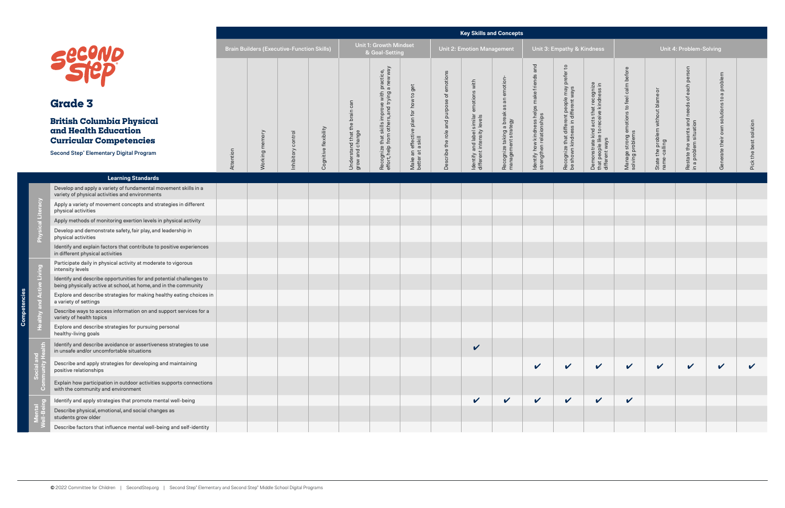Compet

|                                                                                                                                         |           |         |                                                   |                       |                                              |                                                                                                |                                                            |                                           | <b>Key Skills and Concepts</b>                           |                                                                |                                                                      |                                                                                   |                                                                                                   |                                                                |                                                    |                                                 |                                 |          |
|-----------------------------------------------------------------------------------------------------------------------------------------|-----------|---------|---------------------------------------------------|-----------------------|----------------------------------------------|------------------------------------------------------------------------------------------------|------------------------------------------------------------|-------------------------------------------|----------------------------------------------------------|----------------------------------------------------------------|----------------------------------------------------------------------|-----------------------------------------------------------------------------------|---------------------------------------------------------------------------------------------------|----------------------------------------------------------------|----------------------------------------------------|-------------------------------------------------|---------------------------------|----------|
|                                                                                                                                         |           |         | <b>Brain Builders (Executive-Function Skills)</b> |                       |                                              | <b>Unit 1: Growth Mindset</b><br>& Goal-Setting                                                |                                                            |                                           | <b>Unit 2: Emotion Management</b>                        |                                                                |                                                                      | Unit 3: Empathy & Kindness                                                        |                                                                                                   |                                                                |                                                    | Unit 4: Problem-Solving                         |                                 |          |
| <b>Second</b>                                                                                                                           |           |         |                                                   |                       |                                              |                                                                                                |                                                            |                                           | emotions with                                            |                                                                | and                                                                  | $\mathsf{c}\mathsf{d}$                                                            |                                                                                                   |                                                                |                                                    | each person                                     | problem<br>$\sigma$             |          |
| <b>Grade 3</b>                                                                                                                          |           |         |                                                   |                       | can                                          |                                                                                                |                                                            |                                           |                                                          |                                                                |                                                                      |                                                                                   |                                                                                                   |                                                                |                                                    | $\rm ^{+}$<br>needs                             | $\mathbf{c}$                    |          |
| <b>British Columbia Physical</b><br>and Health Education<br><b>Curricular Competencies</b>                                              |           | memory  | nhibitory control                                 | Cognitive flexibility | Understand that the brain<br>grow and change | Recognize that skills improve with practice,<br>effort, help from others, and trying a new way | Make an effective plan for how to get<br>better at a skill | Describe the role and purpose of emotions | Identify and label similar<br>different intensity levels | Recognize taking a break as an emotion-<br>management strategy | ldentify how kindness helps make friends<br>strengthen relationships | Recognize that different people may prefer<br>be shown kindness in different ways | Demonstrate kind acts that recognize<br>that people like to receive kindness in<br>different ways | Manage strong emotions to feel calm before<br>solving problems | State the problem without blame or<br>name-calling | Restate the wants and<br>in a problem situation | solutions<br>Generate their own | solution |
| <b>Second Step® Elementary Digital Program</b>                                                                                          | Attention | Working |                                                   |                       |                                              |                                                                                                |                                                            |                                           |                                                          |                                                                |                                                                      |                                                                                   |                                                                                                   |                                                                |                                                    |                                                 |                                 | the be:  |
| <b>Learning Standards</b>                                                                                                               |           |         |                                                   |                       |                                              |                                                                                                |                                                            |                                           |                                                          |                                                                |                                                                      |                                                                                   |                                                                                                   |                                                                |                                                    |                                                 |                                 |          |
| Develop and apply a variety of fundamental movement skills in a<br>variety of physical activities and environments                      |           |         |                                                   |                       |                                              |                                                                                                |                                                            |                                           |                                                          |                                                                |                                                                      |                                                                                   |                                                                                                   |                                                                |                                                    |                                                 |                                 |          |
| Apply a variety of movement concepts and strategies in different<br>physical activities                                                 |           |         |                                                   |                       |                                              |                                                                                                |                                                            |                                           |                                                          |                                                                |                                                                      |                                                                                   |                                                                                                   |                                                                |                                                    |                                                 |                                 |          |
| Apply methods of monitoring exertion levels in physical activity                                                                        |           |         |                                                   |                       |                                              |                                                                                                |                                                            |                                           |                                                          |                                                                |                                                                      |                                                                                   |                                                                                                   |                                                                |                                                    |                                                 |                                 |          |
| Develop and demonstrate safety, fair play, and leadership in<br>physical activities                                                     |           |         |                                                   |                       |                                              |                                                                                                |                                                            |                                           |                                                          |                                                                |                                                                      |                                                                                   |                                                                                                   |                                                                |                                                    |                                                 |                                 |          |
| Identify and explain factors that contribute to positive experiences<br>in different physical activities                                |           |         |                                                   |                       |                                              |                                                                                                |                                                            |                                           |                                                          |                                                                |                                                                      |                                                                                   |                                                                                                   |                                                                |                                                    |                                                 |                                 |          |
| Participate daily in physical activity at moderate to vigorous<br>intensity levels                                                      |           |         |                                                   |                       |                                              |                                                                                                |                                                            |                                           |                                                          |                                                                |                                                                      |                                                                                   |                                                                                                   |                                                                |                                                    |                                                 |                                 |          |
| Identify and describe opportunities for and potential challenges to<br>being physically active at school, at home, and in the community |           |         |                                                   |                       |                                              |                                                                                                |                                                            |                                           |                                                          |                                                                |                                                                      |                                                                                   |                                                                                                   |                                                                |                                                    |                                                 |                                 |          |
| Explore and describe strategies for making healthy eating choices in<br>a variety of settings                                           |           |         |                                                   |                       |                                              |                                                                                                |                                                            |                                           |                                                          |                                                                |                                                                      |                                                                                   |                                                                                                   |                                                                |                                                    |                                                 |                                 |          |
| Describe ways to access information on and support services for a<br>variety of health topics                                           |           |         |                                                   |                       |                                              |                                                                                                |                                                            |                                           |                                                          |                                                                |                                                                      |                                                                                   |                                                                                                   |                                                                |                                                    |                                                 |                                 |          |
| Explore and describe strategies for pursuing personal<br>healthy-living goals                                                           |           |         |                                                   |                       |                                              |                                                                                                |                                                            |                                           |                                                          |                                                                |                                                                      |                                                                                   |                                                                                                   |                                                                |                                                    |                                                 |                                 |          |
| Identify and describe avoidance or assertiveness strategies to use<br>in unsafe and/or uncomfortable situations                         |           |         |                                                   |                       |                                              |                                                                                                |                                                            |                                           | $\checkmark$                                             |                                                                |                                                                      |                                                                                   |                                                                                                   |                                                                |                                                    |                                                 |                                 |          |
| Describe and apply strategies for developing and maintaining<br>positive relationships                                                  |           |         |                                                   |                       |                                              |                                                                                                |                                                            |                                           |                                                          |                                                                | $\checkmark$                                                         | $\checkmark$                                                                      | $\checkmark$                                                                                      | $\checkmark$                                                   | $\checkmark$                                       | $\mathbf{v}$                                    | $\checkmark$                    |          |
| Explain how participation in outdoor activities supports connections<br>with the community and environment                              |           |         |                                                   |                       |                                              |                                                                                                |                                                            |                                           |                                                          |                                                                |                                                                      |                                                                                   |                                                                                                   |                                                                |                                                    |                                                 |                                 |          |
| Identify and apply strategies that promote mental well-being                                                                            |           |         |                                                   |                       |                                              |                                                                                                |                                                            |                                           | V                                                        | $\checkmark$                                                   | $\checkmark$                                                         | $\checkmark$                                                                      | $\checkmark$                                                                                      | $\checkmark$                                                   |                                                    |                                                 |                                 |          |
| Describe physical, emotional, and social changes as<br>students grow older                                                              |           |         |                                                   |                       |                                              |                                                                                                |                                                            |                                           |                                                          |                                                                |                                                                      |                                                                                   |                                                                                                   |                                                                |                                                    |                                                 |                                 |          |
| Describe factors that influence mental well-being and self-identity                                                                     |           |         |                                                   |                       |                                              |                                                                                                |                                                            |                                           |                                                          |                                                                |                                                                      |                                                                                   |                                                                                                   |                                                                |                                                    |                                                 |                                 |          |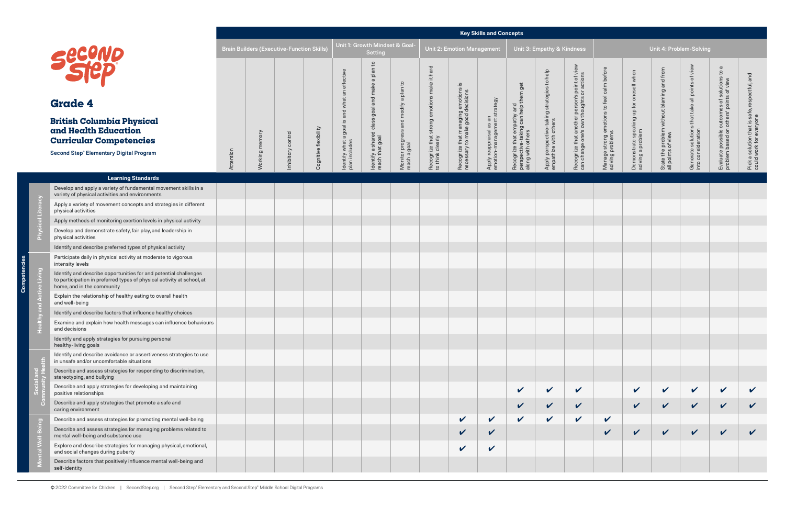#### **Key Skills and Concepts**

**Competencies**

mpet င်

|                                                                                                                                                                          |           |                |                                                   |                       |                                       |                                                          |                                                       |                                                            |                                                                      | <b>Key Skills and Concepts</b>                         |                                                                                         |                                                                      |                                                                                           |                                                                |                                                               |                                                                  |                                                                       |                                                                                       |                                                                          |
|--------------------------------------------------------------------------------------------------------------------------------------------------------------------------|-----------|----------------|---------------------------------------------------|-----------------------|---------------------------------------|----------------------------------------------------------|-------------------------------------------------------|------------------------------------------------------------|----------------------------------------------------------------------|--------------------------------------------------------|-----------------------------------------------------------------------------------------|----------------------------------------------------------------------|-------------------------------------------------------------------------------------------|----------------------------------------------------------------|---------------------------------------------------------------|------------------------------------------------------------------|-----------------------------------------------------------------------|---------------------------------------------------------------------------------------|--------------------------------------------------------------------------|
|                                                                                                                                                                          |           |                | <b>Brain Builders (Executive-Function Skills)</b> |                       |                                       | Unit 1: Growth Mindset & Goal-<br><b>Setting</b>         |                                                       |                                                            | <b>Unit 2: Emotion Management</b>                                    |                                                        |                                                                                         | Unit 3: Empathy & Kindness                                           |                                                                                           |                                                                |                                                               | Unit 4: Problem-Solving                                          |                                                                       |                                                                                       |                                                                          |
| <b>Second</b>                                                                                                                                                            |           |                |                                                   |                       | is and what an effective              | $\overline{c}$<br>a plan                                 |                                                       | hard                                                       | .≌                                                                   |                                                        |                                                                                         |                                                                      |                                                                                           |                                                                |                                                               |                                                                  |                                                                       | $\sigma$                                                                              |                                                                          |
| <b>Grade 4</b>                                                                                                                                                           |           |                |                                                   |                       |                                       |                                                          |                                                       |                                                            |                                                                      |                                                        |                                                                                         |                                                                      |                                                                                           |                                                                |                                                               |                                                                  |                                                                       |                                                                                       |                                                                          |
| <b>British Columbia Physical</b><br>and Health Education<br><b>Curricular Competencies</b>                                                                               |           | Working memory |                                                   | Cognitive flexibility | Identify what a goal<br>plan includes | ldentify a shared class goal and make<br>reach that goal | Monitor progress and modify a plan to<br>reach a goal | Recognize that strong emotions make it<br>to think clearly | Recognize that managing emotions<br>necessary to make good decisions | Apply reappraisal as an<br>emotion-management strategy | Recognize that empathy and<br>perspective-taking can help them get<br>along with others | Apply perspective-taking strategies to help<br>empathize with others | Recognize that another person's point of view<br>can change one's own thoughts or actions | Manage strong emotions to feel calm before<br>solving problems | Demonstrate speaking up for oneself when<br>solving a problem | State the problem without blaming and from<br>all points of view | Generate solutions that take all points of view<br>into consideration | Evaluate possible outcomes of solutions to<br>problem based on others' points of view | Pick a solution that is safe, respectful, and<br>could work for everyone |
| <b>Second Step® Elementary Digital Program</b>                                                                                                                           | Attention |                | Inhibitory control                                |                       |                                       |                                                          |                                                       |                                                            |                                                                      |                                                        |                                                                                         |                                                                      |                                                                                           |                                                                |                                                               |                                                                  |                                                                       |                                                                                       |                                                                          |
| <b>Learning Standards</b>                                                                                                                                                |           |                |                                                   |                       |                                       |                                                          |                                                       |                                                            |                                                                      |                                                        |                                                                                         |                                                                      |                                                                                           |                                                                |                                                               |                                                                  |                                                                       |                                                                                       |                                                                          |
| Develop and apply a variety of fundamental movement skills in a<br>variety of physical activities and environments                                                       |           |                |                                                   |                       |                                       |                                                          |                                                       |                                                            |                                                                      |                                                        |                                                                                         |                                                                      |                                                                                           |                                                                |                                                               |                                                                  |                                                                       |                                                                                       |                                                                          |
| Apply a variety of movement concepts and strategies in different<br>physical activities                                                                                  |           |                |                                                   |                       |                                       |                                                          |                                                       |                                                            |                                                                      |                                                        |                                                                                         |                                                                      |                                                                                           |                                                                |                                                               |                                                                  |                                                                       |                                                                                       |                                                                          |
| Apply methods of monitoring exertion levels in physical activity                                                                                                         |           |                |                                                   |                       |                                       |                                                          |                                                       |                                                            |                                                                      |                                                        |                                                                                         |                                                                      |                                                                                           |                                                                |                                                               |                                                                  |                                                                       |                                                                                       |                                                                          |
| Develop and demonstrate safety, fair play, and leadership in<br>physical activities                                                                                      |           |                |                                                   |                       |                                       |                                                          |                                                       |                                                            |                                                                      |                                                        |                                                                                         |                                                                      |                                                                                           |                                                                |                                                               |                                                                  |                                                                       |                                                                                       |                                                                          |
| Identify and describe preferred types of physical activity                                                                                                               |           |                |                                                   |                       |                                       |                                                          |                                                       |                                                            |                                                                      |                                                        |                                                                                         |                                                                      |                                                                                           |                                                                |                                                               |                                                                  |                                                                       |                                                                                       |                                                                          |
| Participate daily in physical activity at moderate to vigorous<br>intensity levels                                                                                       |           |                |                                                   |                       |                                       |                                                          |                                                       |                                                            |                                                                      |                                                        |                                                                                         |                                                                      |                                                                                           |                                                                |                                                               |                                                                  |                                                                       |                                                                                       |                                                                          |
| Identify and describe opportunities for and potential challenges<br>to participation in preferred types of physical activity at school, at<br>home, and in the community |           |                |                                                   |                       |                                       |                                                          |                                                       |                                                            |                                                                      |                                                        |                                                                                         |                                                                      |                                                                                           |                                                                |                                                               |                                                                  |                                                                       |                                                                                       |                                                                          |
| Explain the relationship of healthy eating to overall health<br>and well-being                                                                                           |           |                |                                                   |                       |                                       |                                                          |                                                       |                                                            |                                                                      |                                                        |                                                                                         |                                                                      |                                                                                           |                                                                |                                                               |                                                                  |                                                                       |                                                                                       |                                                                          |
| Identify and describe factors that influence healthy choices                                                                                                             |           |                |                                                   |                       |                                       |                                                          |                                                       |                                                            |                                                                      |                                                        |                                                                                         |                                                                      |                                                                                           |                                                                |                                                               |                                                                  |                                                                       |                                                                                       |                                                                          |
| Examine and explain how health messages can influence behaviours<br>and decisions                                                                                        |           |                |                                                   |                       |                                       |                                                          |                                                       |                                                            |                                                                      |                                                        |                                                                                         |                                                                      |                                                                                           |                                                                |                                                               |                                                                  |                                                                       |                                                                                       |                                                                          |
| Identify and apply strategies for pursuing personal<br>healthy-living goals                                                                                              |           |                |                                                   |                       |                                       |                                                          |                                                       |                                                            |                                                                      |                                                        |                                                                                         |                                                                      |                                                                                           |                                                                |                                                               |                                                                  |                                                                       |                                                                                       |                                                                          |
| Identify and describe avoidance or assertiveness strategies to use<br>in unsafe and/or uncomfortable situations                                                          |           |                |                                                   |                       |                                       |                                                          |                                                       |                                                            |                                                                      |                                                        |                                                                                         |                                                                      |                                                                                           |                                                                |                                                               |                                                                  |                                                                       |                                                                                       |                                                                          |
| Describe and assess strategies for responding to discrimination,<br>stereotyping, and bullying                                                                           |           |                |                                                   |                       |                                       |                                                          |                                                       |                                                            |                                                                      |                                                        |                                                                                         |                                                                      |                                                                                           |                                                                |                                                               |                                                                  |                                                                       |                                                                                       |                                                                          |
| Describe and apply strategies for developing and maintaining<br>positive relationships                                                                                   |           |                |                                                   |                       |                                       |                                                          |                                                       |                                                            |                                                                      |                                                        | $\checkmark$                                                                            | $\mathbf v$                                                          | $\checkmark$                                                                              |                                                                | $\checkmark$                                                  | $\checkmark$                                                     | $\checkmark$                                                          | $\checkmark$                                                                          |                                                                          |
| Describe and apply strategies that promote a safe and<br>caring environment                                                                                              |           |                |                                                   |                       |                                       |                                                          |                                                       |                                                            |                                                                      |                                                        | $\checkmark$                                                                            | $\checkmark$                                                         | $\checkmark$                                                                              |                                                                | $\checkmark$                                                  | $\checkmark$                                                     | $\checkmark$                                                          | $\checkmark$                                                                          | $\checkmark$                                                             |
| Describe and assess strategies for promoting mental well-being                                                                                                           |           |                |                                                   |                       |                                       |                                                          |                                                       |                                                            | $\checkmark$                                                         | $\checkmark$                                           | $\checkmark$                                                                            | $\mathbf v$                                                          | $\checkmark$                                                                              | $\checkmark$                                                   |                                                               |                                                                  |                                                                       |                                                                                       |                                                                          |
| Describe and assess strategies for managing problems related to<br>mental well-being and substance use                                                                   |           |                |                                                   |                       |                                       |                                                          |                                                       |                                                            | $\checkmark$                                                         | V                                                      |                                                                                         |                                                                      |                                                                                           | $\boldsymbol{\mathcal{U}}$                                     | $\mathbf v$                                                   | $\checkmark$                                                     | $\checkmark$                                                          | $\checkmark$                                                                          |                                                                          |
| Explore and describe strategies for managing physical, emotional,<br>and social changes during puberty                                                                   |           |                |                                                   |                       |                                       |                                                          |                                                       |                                                            | V                                                                    | V                                                      |                                                                                         |                                                                      |                                                                                           |                                                                |                                                               |                                                                  |                                                                       |                                                                                       |                                                                          |
| Describe factors that positively influence mental well-being and<br>self-identity                                                                                        |           |                |                                                   |                       |                                       |                                                          |                                                       |                                                            |                                                                      |                                                        |                                                                                         |                                                                      |                                                                                           |                                                                |                                                               |                                                                  |                                                                       |                                                                                       |                                                                          |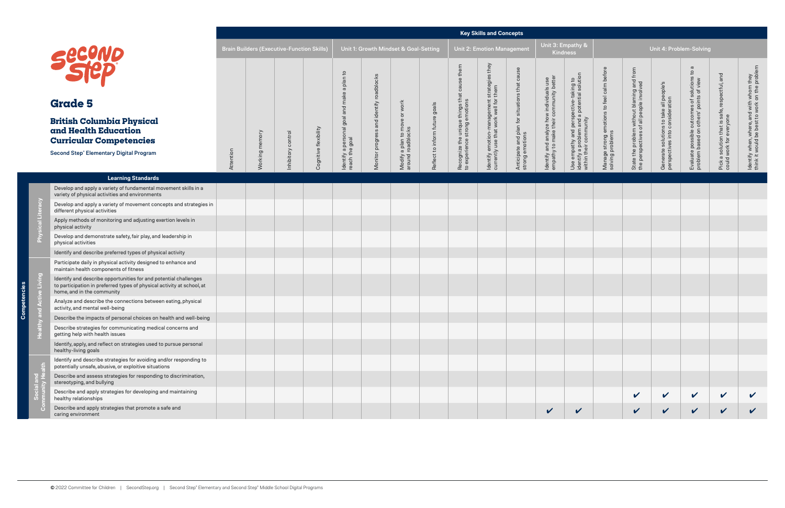**Key Skills and Concepts**

**Competencies**

C

|        |                                                                                                                                                                          |           |                       |                                                   |                       |                                                               |                                          |                                                                            |                                |                                                                              | <b>Rey Skills and Concepts</b>                                                  |                                                                  |                                                                                    |                                                                                                                |                                                                |                                                                                       |                                                                            |                                                                                       |                                                                          |                                                                                           |
|--------|--------------------------------------------------------------------------------------------------------------------------------------------------------------------------|-----------|-----------------------|---------------------------------------------------|-----------------------|---------------------------------------------------------------|------------------------------------------|----------------------------------------------------------------------------|--------------------------------|------------------------------------------------------------------------------|---------------------------------------------------------------------------------|------------------------------------------------------------------|------------------------------------------------------------------------------------|----------------------------------------------------------------------------------------------------------------|----------------------------------------------------------------|---------------------------------------------------------------------------------------|----------------------------------------------------------------------------|---------------------------------------------------------------------------------------|--------------------------------------------------------------------------|-------------------------------------------------------------------------------------------|
|        |                                                                                                                                                                          |           |                       | <b>Brain Builders (Executive-Function Skills)</b> |                       |                                                               |                                          | Unit 1: Growth Mindset & Goal-Setting                                      |                                |                                                                              | <b>Unit 2: Emotion Management</b>                                               |                                                                  |                                                                                    | Unit 3: Empathy &<br><b>Kindness</b>                                                                           |                                                                |                                                                                       | Unit 4: Problem-Solving                                                    |                                                                                       |                                                                          |                                                                                           |
|        | <b>Secono</b>                                                                                                                                                            |           |                       |                                                   |                       |                                                               |                                          |                                                                            |                                |                                                                              | they                                                                            |                                                                  |                                                                                    |                                                                                                                |                                                                |                                                                                       |                                                                            | $\varpi$                                                                              |                                                                          |                                                                                           |
|        | <b>Grade 5</b>                                                                                                                                                           |           |                       |                                                   |                       |                                                               |                                          | work                                                                       |                                |                                                                              |                                                                                 |                                                                  |                                                                                    |                                                                                                                |                                                                |                                                                                       |                                                                            |                                                                                       |                                                                          |                                                                                           |
|        | <b>British Columbia Physical</b><br>and Health Education<br><b>Curricular Competencies</b><br><b>Second Step® Elementary Digital Program</b>                             | Attention | <b>Norking</b> memory | nhibitory control                                 | Cognitive flexibility | ldentify a personal goal and make a plan to<br>reach the goal | Monitor progress and identify roadblocks | $\overleftarrow{\mathrm{o}}$<br>Modify a plan to move<br>around roadblocks | Reflect to inform future goals | Recognize the unique things that cause them<br>to experience strong emotions | ldentify emotion-management strategies<br>currently use that work well for them | Anticipate and plan for situations that cause<br>strong emotions | Identify and analyze how individuals use<br>empathy to make their community better | Use empathy and perspective-taking to<br>identify a problem and a potential solution<br>within their community | Manage strong emotions to feel calm before<br>solving problems | State the problem without blaming and from<br>the perspectives of all people involved | Generate solutions to take all people's<br>perspectives into consideration | Evaluate possible outcomes of solutions to<br>problem based on others' points of view | Pick a solution that is safe, respectful, and<br>could work for everyone | ldentify when, where, and with whom they<br>think it would be best to work on the problem |
|        | <b>Learning Standards</b>                                                                                                                                                |           |                       |                                                   |                       |                                                               |                                          |                                                                            |                                |                                                                              |                                                                                 |                                                                  |                                                                                    |                                                                                                                |                                                                |                                                                                       |                                                                            |                                                                                       |                                                                          |                                                                                           |
|        | Develop and apply a variety of fundamental movement skills in a<br>variety of physical activities and environments                                                       |           |                       |                                                   |                       |                                                               |                                          |                                                                            |                                |                                                                              |                                                                                 |                                                                  |                                                                                    |                                                                                                                |                                                                |                                                                                       |                                                                            |                                                                                       |                                                                          |                                                                                           |
| teracy | Develop and apply a variety of movement concepts and strategies in<br>different physical activities                                                                      |           |                       |                                                   |                       |                                                               |                                          |                                                                            |                                |                                                                              |                                                                                 |                                                                  |                                                                                    |                                                                                                                |                                                                |                                                                                       |                                                                            |                                                                                       |                                                                          |                                                                                           |
|        | Apply methods of monitoring and adjusting exertion levels in<br>physical activity                                                                                        |           |                       |                                                   |                       |                                                               |                                          |                                                                            |                                |                                                                              |                                                                                 |                                                                  |                                                                                    |                                                                                                                |                                                                |                                                                                       |                                                                            |                                                                                       |                                                                          |                                                                                           |
|        | Develop and demonstrate safety, fair play, and leadership in<br>physical activities                                                                                      |           |                       |                                                   |                       |                                                               |                                          |                                                                            |                                |                                                                              |                                                                                 |                                                                  |                                                                                    |                                                                                                                |                                                                |                                                                                       |                                                                            |                                                                                       |                                                                          |                                                                                           |
|        | Identify and describe preferred types of physical activity                                                                                                               |           |                       |                                                   |                       |                                                               |                                          |                                                                            |                                |                                                                              |                                                                                 |                                                                  |                                                                                    |                                                                                                                |                                                                |                                                                                       |                                                                            |                                                                                       |                                                                          |                                                                                           |
|        | Participate daily in physical activity designed to enhance and<br>maintain health components of fitness                                                                  |           |                       |                                                   |                       |                                                               |                                          |                                                                            |                                |                                                                              |                                                                                 |                                                                  |                                                                                    |                                                                                                                |                                                                |                                                                                       |                                                                            |                                                                                       |                                                                          |                                                                                           |
| ving   | Identify and describe opportunities for and potential challenges<br>to participation in preferred types of physical activity at school, at<br>home, and in the community |           |                       |                                                   |                       |                                                               |                                          |                                                                            |                                |                                                                              |                                                                                 |                                                                  |                                                                                    |                                                                                                                |                                                                |                                                                                       |                                                                            |                                                                                       |                                                                          |                                                                                           |
|        | Analyze and describe the connections between eating, physical<br>activity, and mental well-being                                                                         |           |                       |                                                   |                       |                                                               |                                          |                                                                            |                                |                                                                              |                                                                                 |                                                                  |                                                                                    |                                                                                                                |                                                                |                                                                                       |                                                                            |                                                                                       |                                                                          |                                                                                           |
|        | Describe the impacts of personal choices on health and well-being                                                                                                        |           |                       |                                                   |                       |                                                               |                                          |                                                                            |                                |                                                                              |                                                                                 |                                                                  |                                                                                    |                                                                                                                |                                                                |                                                                                       |                                                                            |                                                                                       |                                                                          |                                                                                           |
|        | Describe strategies for communicating medical concerns and<br>getting help with health issues                                                                            |           |                       |                                                   |                       |                                                               |                                          |                                                                            |                                |                                                                              |                                                                                 |                                                                  |                                                                                    |                                                                                                                |                                                                |                                                                                       |                                                                            |                                                                                       |                                                                          |                                                                                           |
|        | Identify, apply, and reflect on strategies used to pursue personal<br>healthy-living goals                                                                               |           |                       |                                                   |                       |                                                               |                                          |                                                                            |                                |                                                                              |                                                                                 |                                                                  |                                                                                    |                                                                                                                |                                                                |                                                                                       |                                                                            |                                                                                       |                                                                          |                                                                                           |
|        | Identify and describe strategies for avoiding and/or responding to<br>potentially unsafe, abusive, or exploitive situations                                              |           |                       |                                                   |                       |                                                               |                                          |                                                                            |                                |                                                                              |                                                                                 |                                                                  |                                                                                    |                                                                                                                |                                                                |                                                                                       |                                                                            |                                                                                       |                                                                          |                                                                                           |
|        | Describe and assess strategies for responding to discrimination,<br>stereotyping, and bullying                                                                           |           |                       |                                                   |                       |                                                               |                                          |                                                                            |                                |                                                                              |                                                                                 |                                                                  |                                                                                    |                                                                                                                |                                                                |                                                                                       |                                                                            |                                                                                       |                                                                          |                                                                                           |
|        | Describe and apply strategies for developing and maintaining<br>healthy relationships                                                                                    |           |                       |                                                   |                       |                                                               |                                          |                                                                            |                                |                                                                              |                                                                                 |                                                                  |                                                                                    |                                                                                                                |                                                                | $\checkmark$                                                                          | $\boldsymbol{\mathcal{C}}$                                                 | $\vee$                                                                                | $\checkmark$                                                             |                                                                                           |
|        | Describe and apply strategies that promote a safe and<br>caring environment                                                                                              |           |                       |                                                   |                       |                                                               |                                          |                                                                            |                                |                                                                              |                                                                                 |                                                                  | $\mathbf{v}$                                                                       | $\mathbf v$                                                                                                    |                                                                | $\checkmark$                                                                          | $\checkmark$                                                               | $\checkmark$                                                                          | $\checkmark$                                                             | $\checkmark$                                                                              |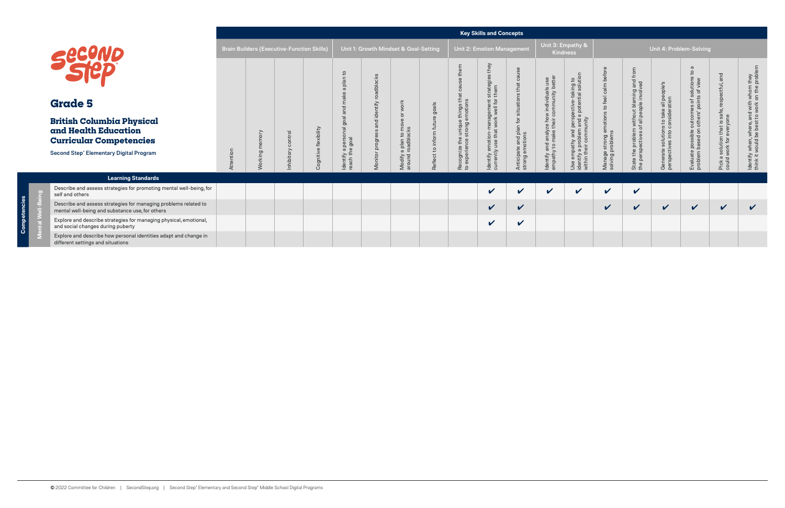| <b>Key Skills and Concepts</b> |  |
|--------------------------------|--|
|--------------------------------|--|

|                                                                                                                    |           |                                                   |                    |                            |                                    |                |                                          |                  |                                                  | <b>Key Skills and Concepts</b>                    |                                            |                                                                                   |                                                                                  |                                      |                                                                                       |                                         |                                                                                 |                                                            |                                                                                         |
|--------------------------------------------------------------------------------------------------------------------|-----------|---------------------------------------------------|--------------------|----------------------------|------------------------------------|----------------|------------------------------------------|------------------|--------------------------------------------------|---------------------------------------------------|--------------------------------------------|-----------------------------------------------------------------------------------|----------------------------------------------------------------------------------|--------------------------------------|---------------------------------------------------------------------------------------|-----------------------------------------|---------------------------------------------------------------------------------|------------------------------------------------------------|-----------------------------------------------------------------------------------------|
| Securio                                                                                                            |           | <b>Brain Builders (Executive-Function Skills)</b> |                    |                            |                                    |                | Unit 1: Growth Mindset & Goal-Setting    |                  |                                                  | <b>Unit 2: Emotion Management</b>                 |                                            |                                                                                   | Unit 3: Empathy &<br><b>Kindness</b>                                             |                                      |                                                                                       |                                         | Unit 4: Problem-Solving                                                         |                                                            |                                                                                         |
|                                                                                                                    |           |                                                   |                    |                            | S                                  | roadblocks     |                                          |                  |                                                  | they<br>strategies<br>them                        |                                            |                                                                                   | ective-taking to<br>I potential solution                                         | to feel calm before                  |                                                                                       |                                         | $\boldsymbol{\varpi}$<br>$\circ$<br>olution:<br>of view<br>of solu<br>ints of \ | ctful, and                                                 |                                                                                         |
| <b>Grade 5</b>                                                                                                     |           |                                                   |                    |                            |                                    | entify         |                                          | goals            | €<br>e things t<br>emotions                      | gement :<br>well for                              | situation                                  |                                                                                   |                                                                                  |                                      |                                                                                       | s to take all people's<br>consideration |                                                                                 |                                                            |                                                                                         |
| <b>British Columbia Physical</b><br>and Health Education<br><b>Curricular Competencies</b>                         |           |                                                   | $\overline{\circ}$ | flexibility                |                                    | d id<br>progro | Modify a plan to mo<br>around roadblocks | future<br>inform | unique<br>strong                                 | ldentify emotion-manag<br>currently use that work | Anticipate and plan for<br>strong emotions | Identify and analyze how individuals use<br>empathy to make their community bette | perspe<br>and a<br>unity<br>e<br>an<br>comm<br>nathy an<br>a probler<br>eir comn | notior                               | State the problem without blaming and from<br>the perspectives of all people involved |                                         | Evaluate possible outcomes<br>problem based on others' poi                      | Pick a solution that is safe, r<br>could work for everyone | ddentify when, where, and with whom they<br>think it would be best to work on the probl |
| Second Step® Elementary Digital Program                                                                            | Attention | $\sigma$                                          | nhibitory          | ognitive<br>$\overline{O}$ | Identify a perso<br>reach the goal | Monitor        |                                          | Reflect to       | Recognize the<br>to experience s<br>$\mathbf{c}$ |                                                   |                                            |                                                                                   | Use empa<br> identify a<br> within thei                                          | Manage strong en<br>solving problems |                                                                                       | Generate solution:<br>perspectives into |                                                                                 |                                                            |                                                                                         |
| <b>Learning Standards</b>                                                                                          |           |                                                   |                    |                            |                                    |                |                                          |                  |                                                  |                                                   |                                            |                                                                                   |                                                                                  |                                      |                                                                                       |                                         |                                                                                 |                                                            |                                                                                         |
| Describe and assess strategies for promoting mental well-being, for<br>self and others                             |           |                                                   |                    |                            |                                    |                |                                          |                  |                                                  | $\checkmark$                                      | $\checkmark$                               | $\boldsymbol{\mathcal{U}}$                                                        | $\checkmark$                                                                     | $\checkmark$                         | $\checkmark$                                                                          |                                         |                                                                                 |                                                            |                                                                                         |
| Describe and assess strategies for managing problems related to<br>mental well-being and substance use, for others |           |                                                   |                    |                            |                                    |                |                                          |                  |                                                  | $\checkmark$                                      | $\checkmark$                               |                                                                                   |                                                                                  | $\checkmark$                         | $\checkmark$                                                                          | $\checkmark$                            | $\checkmark$                                                                    | $\checkmark$                                               | $\checkmark$                                                                            |
| Explore and describe strategies for managing physical, emotional,<br>and social changes during puberty             |           |                                                   |                    |                            |                                    |                |                                          |                  |                                                  | $\checkmark$                                      | $\mathbf v$                                |                                                                                   |                                                                                  |                                      |                                                                                       |                                         |                                                                                 |                                                            |                                                                                         |
| Explore and describe how personal identities adapt and change in<br>different settings and situations              |           |                                                   |                    |                            |                                    |                |                                          |                  |                                                  |                                                   |                                            |                                                                                   |                                                                                  |                                      |                                                                                       |                                         |                                                                                 |                                                            |                                                                                         |

**Competencies**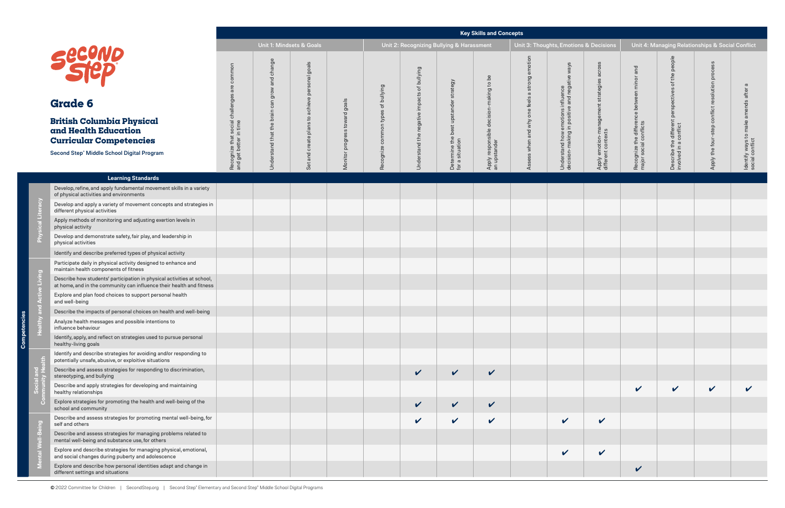| ons & Decisions                                                  |                                                                      |                                                                             | Unit 4: Managing Relationships & Social Conflict |                                                         |
|------------------------------------------------------------------|----------------------------------------------------------------------|-----------------------------------------------------------------------------|--------------------------------------------------|---------------------------------------------------------|
| Apply emotion-management strategies across<br>different contexts | Recognize the difference between minor and<br>major social conflicts | Describe the different perspectives of the people<br>involved in a conflict | Apply the four-step conflict resolution process  | Identify ways to make amends after a<br>social conflict |
|                                                                  |                                                                      |                                                                             |                                                  |                                                         |
|                                                                  |                                                                      |                                                                             |                                                  |                                                         |
|                                                                  |                                                                      |                                                                             |                                                  |                                                         |
|                                                                  |                                                                      |                                                                             |                                                  |                                                         |
|                                                                  |                                                                      |                                                                             |                                                  |                                                         |
|                                                                  |                                                                      |                                                                             |                                                  |                                                         |
|                                                                  |                                                                      |                                                                             |                                                  |                                                         |
|                                                                  |                                                                      |                                                                             |                                                  |                                                         |
|                                                                  |                                                                      |                                                                             |                                                  |                                                         |
|                                                                  |                                                                      |                                                                             |                                                  |                                                         |
|                                                                  |                                                                      |                                                                             |                                                  |                                                         |
|                                                                  |                                                                      |                                                                             |                                                  |                                                         |
|                                                                  |                                                                      |                                                                             |                                                  |                                                         |
|                                                                  |                                                                      |                                                                             |                                                  |                                                         |
|                                                                  |                                                                      |                                                                             |                                                  |                                                         |
|                                                                  |                                                                      |                                                                             |                                                  |                                                         |
|                                                                  |                                                                      |                                                                             |                                                  |                                                         |
|                                                                  | V                                                                    |                                                                             |                                                  |                                                         |

 $\bar{c}$ 

|              |                                                                                                                                                |                                                                             |                           |                                                      |                                  |                             |                                                                     |                                           | <b>Key Skills and Concepts</b>                          |                                          |                                                                                       |                                                                     |                                                                            |                                                                |                                  |                                          |
|--------------|------------------------------------------------------------------------------------------------------------------------------------------------|-----------------------------------------------------------------------------|---------------------------|------------------------------------------------------|----------------------------------|-----------------------------|---------------------------------------------------------------------|-------------------------------------------|---------------------------------------------------------|------------------------------------------|---------------------------------------------------------------------------------------|---------------------------------------------------------------------|----------------------------------------------------------------------------|----------------------------------------------------------------|----------------------------------|------------------------------------------|
|              |                                                                                                                                                |                                                                             |                           | Unit 1: Mindsets & Goals                             |                                  |                             | Unit 2: Recognizing Bullying & Harassment                           |                                           |                                                         |                                          | Unit 3: Thoughts, Emotions & Decisions                                                |                                                                     |                                                                            | Unit 4: Managing Relationships & Social Conflict               |                                  |                                          |
|              | <b>second</b><br><b>Grade 6</b><br><b>British Columbia Physical</b>                                                                            | common<br>are<br>Recognize that social challenges<br>and get better in time | change<br>and<br>can grow | goals<br>personal<br>achieve<br>$\mathbf{c}_1$<br>SU | goals<br>$\overline{C}$<br>towar | of bullying<br>common types | bullying<br>$\overleftrightarrow{\circ}$<br>cts<br>impa<br>negative | strategy<br>best upstander                | Apply responsible decision-making to be<br>an upstander | otion<br>strong<br>$\sigma$<br>one feels | s/ew<br>Understand how emotions influence<br>decision-making in positive and negative | across<br>Apply emotion-management strategies<br>different contexts | and<br>minor<br>Recognize the difference between<br>major social conflicts | people<br>the<br>ঁত<br>perspectives<br>a different<br>conflict | proces<br>resolution<br>conflict | $\sigma$<br>amends after                 |
|              | and Health Education<br><b>Curricular Competencies</b>                                                                                         |                                                                             |                           | $\frac{a}{a}$                                        | progress                         |                             |                                                                     |                                           |                                                         |                                          |                                                                                       |                                                                     |                                                                            |                                                                |                                  |                                          |
|              | Second Step® Middle School Digital Program                                                                                                     |                                                                             | Understand that the brain | create<br>and<br>Set                                 | Monitor                          | Recognize                   | Understand the                                                      | Determine the <b>t</b><br>for a situation |                                                         | ss when and why                          |                                                                                       |                                                                     |                                                                            | Describe the only                                              | Apply the four-step              | Identify ways to make<br>social conflict |
|              | <b>Learning Standards</b>                                                                                                                      |                                                                             |                           |                                                      |                                  |                             |                                                                     |                                           |                                                         |                                          |                                                                                       |                                                                     |                                                                            |                                                                |                                  |                                          |
|              | Develop, refine, and apply fundamental movement skills in a variety<br>of physical activities and environments                                 |                                                                             |                           |                                                      |                                  |                             |                                                                     |                                           |                                                         |                                          |                                                                                       |                                                                     |                                                                            |                                                                |                                  |                                          |
| racy         | Develop and apply a variety of movement concepts and strategies in<br>different physical activities                                            |                                                                             |                           |                                                      |                                  |                             |                                                                     |                                           |                                                         |                                          |                                                                                       |                                                                     |                                                                            |                                                                |                                  |                                          |
|              | Apply methods of monitoring and adjusting exertion levels in<br>physical activity                                                              |                                                                             |                           |                                                      |                                  |                             |                                                                     |                                           |                                                         |                                          |                                                                                       |                                                                     |                                                                            |                                                                |                                  |                                          |
|              | Develop and demonstrate safety, fair play, and leadership in<br>physical activities                                                            |                                                                             |                           |                                                      |                                  |                             |                                                                     |                                           |                                                         |                                          |                                                                                       |                                                                     |                                                                            |                                                                |                                  |                                          |
|              | Identify and describe preferred types of physical activity                                                                                     |                                                                             |                           |                                                      |                                  |                             |                                                                     |                                           |                                                         |                                          |                                                                                       |                                                                     |                                                                            |                                                                |                                  |                                          |
|              | Participate daily in physical activity designed to enhance and<br>maintain health components of fitness                                        |                                                                             |                           |                                                      |                                  |                             |                                                                     |                                           |                                                         |                                          |                                                                                       |                                                                     |                                                                            |                                                                |                                  |                                          |
| Living       | Describe how students' participation in physical activities at school,<br>at home, and in the community can influence their health and fitness |                                                                             |                           |                                                      |                                  |                             |                                                                     |                                           |                                                         |                                          |                                                                                       |                                                                     |                                                                            |                                                                |                                  |                                          |
|              | Explore and plan food choices to support personal health<br>and well-being                                                                     |                                                                             |                           |                                                      |                                  |                             |                                                                     |                                           |                                                         |                                          |                                                                                       |                                                                     |                                                                            |                                                                |                                  |                                          |
|              | Describe the impacts of personal choices on health and well-being                                                                              |                                                                             |                           |                                                      |                                  |                             |                                                                     |                                           |                                                         |                                          |                                                                                       |                                                                     |                                                                            |                                                                |                                  |                                          |
|              | Analyze health messages and possible intentions to<br>influence behaviour                                                                      |                                                                             |                           |                                                      |                                  |                             |                                                                     |                                           |                                                         |                                          |                                                                                       |                                                                     |                                                                            |                                                                |                                  |                                          |
|              | Identify, apply, and reflect on strategies used to pursue personal<br>healthy-living goals                                                     |                                                                             |                           |                                                      |                                  |                             |                                                                     |                                           |                                                         |                                          |                                                                                       |                                                                     |                                                                            |                                                                |                                  |                                          |
|              | Identify and describe strategies for avoiding and/or responding to<br>potentially unsafe, abusive, or exploitive situations                    |                                                                             |                           |                                                      |                                  |                             |                                                                     |                                           |                                                         |                                          |                                                                                       |                                                                     |                                                                            |                                                                |                                  |                                          |
|              | Describe and assess strategies for responding to discrimination,<br>stereotyping, and bullying                                                 |                                                                             |                           |                                                      |                                  |                             | $\checkmark$                                                        | $\checkmark$                              | $\checkmark$                                            |                                          |                                                                                       |                                                                     |                                                                            |                                                                |                                  |                                          |
|              | Describe and apply strategies for developing and maintaining<br>healthy relationships                                                          |                                                                             |                           |                                                      |                                  |                             |                                                                     |                                           |                                                         |                                          |                                                                                       |                                                                     | $\checkmark$                                                               | $\checkmark$                                                   | $\checkmark$                     |                                          |
|              | Explore strategies for promoting the health and well-being of the<br>school and community                                                      |                                                                             |                           |                                                      |                                  |                             | $\checkmark$                                                        | $\checkmark$                              | $\checkmark$                                            |                                          |                                                                                       |                                                                     |                                                                            |                                                                |                                  |                                          |
| <b>Dalis</b> | Describe and assess strategies for promoting mental well-being, for<br>self and others                                                         |                                                                             |                           |                                                      |                                  |                             | $\mathbf{v}$                                                        | $\checkmark$                              | $\checkmark$                                            |                                          | $\checkmark$                                                                          | $\checkmark$                                                        |                                                                            |                                                                |                                  |                                          |
|              | Describe and assess strategies for managing problems related to<br>mental well-being and substance use, for others                             |                                                                             |                           |                                                      |                                  |                             |                                                                     |                                           |                                                         |                                          |                                                                                       |                                                                     |                                                                            |                                                                |                                  |                                          |
|              | Explore and describe strategies for managing physical, emotional,<br>and social changes during puberty and adolescence                         |                                                                             |                           |                                                      |                                  |                             |                                                                     |                                           |                                                         |                                          | V                                                                                     | $\checkmark$                                                        |                                                                            |                                                                |                                  |                                          |
|              | Explore and describe how personal identities adapt and change in<br>different settings and situations                                          |                                                                             |                           |                                                      |                                  |                             |                                                                     |                                           |                                                         |                                          |                                                                                       |                                                                     | $\checkmark$                                                               |                                                                |                                  |                                          |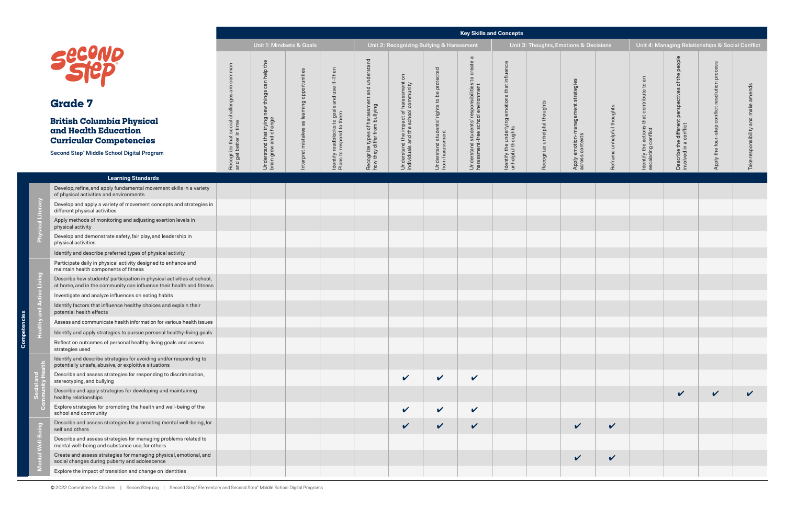mpete င္ပ်ဳ

encies

|                                                                                                                                                |                                                            |                                                     |                                            |                                                          |                                                              |                                                                             |                                                                |                                                                             | <b>Key Skills and Concepts</b>                         |                              |                                        |                            |                                                       |                                                  |                                                  |            |
|------------------------------------------------------------------------------------------------------------------------------------------------|------------------------------------------------------------|-----------------------------------------------------|--------------------------------------------|----------------------------------------------------------|--------------------------------------------------------------|-----------------------------------------------------------------------------|----------------------------------------------------------------|-----------------------------------------------------------------------------|--------------------------------------------------------|------------------------------|----------------------------------------|----------------------------|-------------------------------------------------------|--------------------------------------------------|--------------------------------------------------|------------|
|                                                                                                                                                |                                                            |                                                     | Unit 1: Mindsets & Goals                   |                                                          |                                                              |                                                                             | Unit 2: Recognizing Bullying & Harassment                      |                                                                             |                                                        |                              | Unit 3: Thoughts, Emotions & Decisions |                            |                                                       |                                                  | Unit 4: Managing Relationships & Social Conflict |            |
| Secono                                                                                                                                         | common<br>are                                              | help the<br>things can                              |                                            | use If-Then                                              | ent and understand                                           | $\overline{5}$                                                              |                                                                | $\sigma$<br>create<br>$\overline{c}$                                        | influence<br>that                                      |                              | strategies                             |                            | $\overline{a}$<br>$\overline{c}$                      | people<br>the<br>$\rm ^{+}$                      | ဒ္တ<br>proces<br>resolution                      | nds        |
| <b>Grade 7</b>                                                                                                                                 |                                                            |                                                     |                                            | and                                                      |                                                              |                                                                             |                                                                |                                                                             |                                                        |                              |                                        |                            | contribute                                            | ctives<br>perspeo                                |                                                  |            |
| <b>British Columbia Physical</b><br>and Health Education<br><b>Curricular Competencies</b>                                                     | Recognize that social challenges<br>and get better in time | Understand that trying new<br>brain grow and change | nterpret mistakes as learning opportunitie | Identify roadblocks to goals<br>Plans to respond to them | Recognize types of harassmo<br>how they differ from bullying | Understand the impact of harassment<br>individuals and the school community | Understand students' rights to be protected<br>from harassment | Understand students' responsibilities<br>harassment-free school environment | ldentify the underlying emotions<br>unhelpful thoughts | Recognize unhelpful thoughts | emotion-management<br>s contexts       | Reframe unhelpful thoughts | that<br>Identify the actions t<br>escalating conflict | Describe the different<br>involved in a conflict | conflict<br>step<br>the four-                    | onsibility |
| Second Step® Middle School Digital Program                                                                                                     |                                                            |                                                     |                                            |                                                          |                                                              |                                                                             |                                                                |                                                                             |                                                        |                              | Apply e<br>across                      |                            |                                                       |                                                  | <b>Apply</b>                                     |            |
| <b>Learning Standards</b>                                                                                                                      |                                                            |                                                     |                                            |                                                          |                                                              |                                                                             |                                                                |                                                                             |                                                        |                              |                                        |                            |                                                       |                                                  |                                                  |            |
| Develop, refine, and apply fundamental movement skills in a variety<br>of physical activities and environments                                 |                                                            |                                                     |                                            |                                                          |                                                              |                                                                             |                                                                |                                                                             |                                                        |                              |                                        |                            |                                                       |                                                  |                                                  |            |
| Develop and apply a variety of movement concepts and strategies in<br>different physical activities                                            |                                                            |                                                     |                                            |                                                          |                                                              |                                                                             |                                                                |                                                                             |                                                        |                              |                                        |                            |                                                       |                                                  |                                                  |            |
| Apply methods of monitoring and adjusting exertion levels in<br>physical activity                                                              |                                                            |                                                     |                                            |                                                          |                                                              |                                                                             |                                                                |                                                                             |                                                        |                              |                                        |                            |                                                       |                                                  |                                                  |            |
| Develop and demonstrate safety, fair play, and leadership in<br>physical activities                                                            |                                                            |                                                     |                                            |                                                          |                                                              |                                                                             |                                                                |                                                                             |                                                        |                              |                                        |                            |                                                       |                                                  |                                                  |            |
| Identify and describe preferred types of physical activity                                                                                     |                                                            |                                                     |                                            |                                                          |                                                              |                                                                             |                                                                |                                                                             |                                                        |                              |                                        |                            |                                                       |                                                  |                                                  |            |
| Participate daily in physical activity designed to enhance and<br>maintain health components of fitness                                        |                                                            |                                                     |                                            |                                                          |                                                              |                                                                             |                                                                |                                                                             |                                                        |                              |                                        |                            |                                                       |                                                  |                                                  |            |
| Describe how students' participation in physical activities at school,<br>at home, and in the community can influence their health and fitness |                                                            |                                                     |                                            |                                                          |                                                              |                                                                             |                                                                |                                                                             |                                                        |                              |                                        |                            |                                                       |                                                  |                                                  |            |
| Investigate and analyze influences on eating habits                                                                                            |                                                            |                                                     |                                            |                                                          |                                                              |                                                                             |                                                                |                                                                             |                                                        |                              |                                        |                            |                                                       |                                                  |                                                  |            |
| Identify factors that influence healthy choices and explain their<br>potential health effects                                                  |                                                            |                                                     |                                            |                                                          |                                                              |                                                                             |                                                                |                                                                             |                                                        |                              |                                        |                            |                                                       |                                                  |                                                  |            |
| Assess and communicate health information for various health issues                                                                            |                                                            |                                                     |                                            |                                                          |                                                              |                                                                             |                                                                |                                                                             |                                                        |                              |                                        |                            |                                                       |                                                  |                                                  |            |
| Identify and apply strategies to pursue personal healthy-living goals                                                                          |                                                            |                                                     |                                            |                                                          |                                                              |                                                                             |                                                                |                                                                             |                                                        |                              |                                        |                            |                                                       |                                                  |                                                  |            |
| Reflect on outcomes of personal healthy-living goals and assess<br>strategies used                                                             |                                                            |                                                     |                                            |                                                          |                                                              |                                                                             |                                                                |                                                                             |                                                        |                              |                                        |                            |                                                       |                                                  |                                                  |            |
| Identify and describe strategies for avoiding and/or responding to<br>potentially unsafe, abusive, or exploitive situations                    |                                                            |                                                     |                                            |                                                          |                                                              |                                                                             |                                                                |                                                                             |                                                        |                              |                                        |                            |                                                       |                                                  |                                                  |            |
| Describe and assess strategies for responding to discrimination,<br>stereotyping, and bullying                                                 |                                                            |                                                     |                                            |                                                          |                                                              | V                                                                           | $\checkmark$                                                   | V                                                                           |                                                        |                              |                                        |                            |                                                       |                                                  |                                                  |            |
| Describe and apply strategies for developing and maintaining<br>healthy relationships                                                          |                                                            |                                                     |                                            |                                                          |                                                              |                                                                             |                                                                |                                                                             |                                                        |                              |                                        |                            |                                                       | $\checkmark$                                     | $\checkmark$                                     |            |
| Explore strategies for promoting the health and well-being of the<br>school and community                                                      |                                                            |                                                     |                                            |                                                          |                                                              | $\checkmark$                                                                | $\checkmark$                                                   | $\checkmark$                                                                |                                                        |                              |                                        |                            |                                                       |                                                  |                                                  |            |
| Describe and assess strategies for promoting mental well-being, for<br>self and others                                                         |                                                            |                                                     |                                            |                                                          |                                                              | $\checkmark$                                                                | $\checkmark$                                                   | V                                                                           |                                                        |                              | $\checkmark$                           | $\mathbf{v}$               |                                                       |                                                  |                                                  |            |
| Describe and assess strategies for managing problems related to<br>mental well-being and substance use, for others                             |                                                            |                                                     |                                            |                                                          |                                                              |                                                                             |                                                                |                                                                             |                                                        |                              |                                        |                            |                                                       |                                                  |                                                  |            |
| Create and assess strategies for managing physical, emotional, and<br>social changes during puberty and adolescence                            |                                                            |                                                     |                                            |                                                          |                                                              |                                                                             |                                                                |                                                                             |                                                        |                              | $\checkmark$                           | $\boldsymbol{\mathcal{U}}$ |                                                       |                                                  |                                                  |            |
| Explore the impact of transition and change on identities                                                                                      |                                                            |                                                     |                                            |                                                          |                                                              |                                                                             |                                                                |                                                                             |                                                        |                              |                                        |                            |                                                       |                                                  |                                                  |            |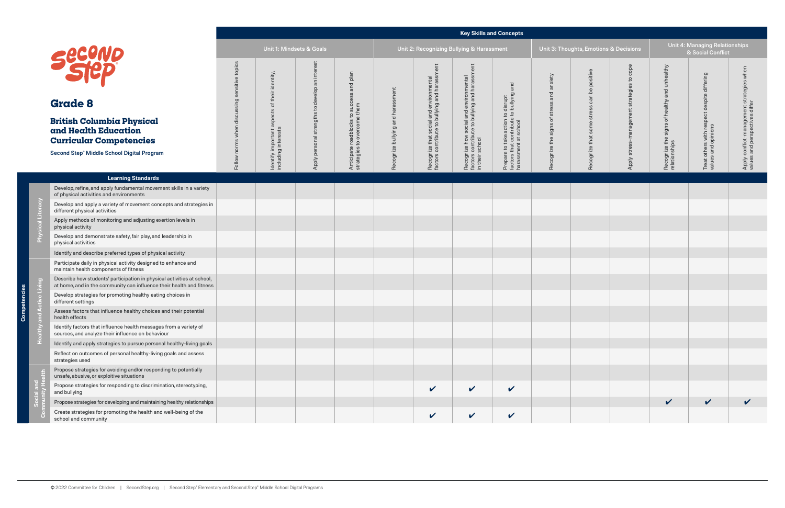# **Key Skills and Concepts**

| ts, Emotions & Dec <u>isions</u>           |                                            |                                                               | Unit 4: Managing Relationships<br>& Social Conflict                |                                                                             |
|--------------------------------------------|--------------------------------------------|---------------------------------------------------------------|--------------------------------------------------------------------|-----------------------------------------------------------------------------|
| Recognize that some stress can be positive | Apply stress-management strategies to cope | Recognize the signs of healthy and unhealthy<br>relationships | Treat others with respect despite differing<br>values and opinions | Apply conflict-management strategies when<br>values and perspectives differ |
|                                            |                                            |                                                               |                                                                    |                                                                             |
|                                            |                                            |                                                               |                                                                    |                                                                             |
|                                            |                                            |                                                               |                                                                    |                                                                             |
|                                            |                                            |                                                               |                                                                    |                                                                             |
|                                            |                                            |                                                               |                                                                    |                                                                             |
|                                            |                                            |                                                               |                                                                    |                                                                             |
|                                            |                                            |                                                               |                                                                    |                                                                             |
|                                            |                                            |                                                               |                                                                    |                                                                             |
|                                            |                                            |                                                               |                                                                    |                                                                             |
|                                            |                                            |                                                               |                                                                    |                                                                             |
|                                            |                                            |                                                               |                                                                    |                                                                             |
|                                            |                                            |                                                               |                                                                    |                                                                             |
|                                            |                                            | V                                                             |                                                                    |                                                                             |
|                                            |                                            |                                                               |                                                                    |                                                                             |

**Competencies**

npetencie

ē,

| <b>Second</b><br><b>Grade 8</b><br><b>British Columbia Physical</b><br>and Health Education<br><b>Curricular Competencies</b><br>Second Step® Middle School Digital Program |                                                                                                                                                | Unit 1: Mindsets & Goals     |                                                                                                 |                                                     | Unit 2: Recognizing Bullying & Harassment                    |                                   |                                                                                          | Unit 3: Thoughts, Emotions & Decisions                                                                            |                                                                                                  |                                                   | <b>Unit 4: Managing Relationships</b><br>& Social Conflict |                                    |                                                           |                                               |                         |
|-----------------------------------------------------------------------------------------------------------------------------------------------------------------------------|------------------------------------------------------------------------------------------------------------------------------------------------|------------------------------|-------------------------------------------------------------------------------------------------|-----------------------------------------------------|--------------------------------------------------------------|-----------------------------------|------------------------------------------------------------------------------------------|-------------------------------------------------------------------------------------------------------------------|--------------------------------------------------------------------------------------------------|---------------------------------------------------|------------------------------------------------------------|------------------------------------|-----------------------------------------------------------|-----------------------------------------------|-------------------------|
|                                                                                                                                                                             |                                                                                                                                                | sensitive topics             | identity,                                                                                       | intere:<br>$\overline{\mathsf{a}}$                  | plan<br>bue sses:                                            |                                   |                                                                                          |                                                                                                                   | and                                                                                              | anxiety                                           | positive<br>$\mathsf{b}\mathsf{d}$                         | cope<br>$\mathtt{S}$<br>strategies | and unhealthy                                             | differing                                     | when<br>strategies      |
|                                                                                                                                                                             |                                                                                                                                                | Follow norms when discussing | their<br>$\overleftarrow{\mathrm{o}}$<br>aspects<br>Identify important :<br>including interests | develop<br>$\mathsf{G}$<br>Apply personal strengths | Anticipate roadblocks to succ<br>strategies to overcome them | Recognize bullying and harassment | Recognize that social and environmental<br>factors contribute to bullying and harassment | cial and environmental<br>to bullying and harassr<br>Recognize how soc<br>factors contribute t<br>in their school | Prepare to take action to disrupt<br>factors that contribute to bullying<br>harassment at school | and<br>stress<br>$\overline{\sigma}$<br>the signs | can<br>ဖ<br>stres<br>some<br>that                          | stress-management                  | healthy<br>đ<br>signs<br>Recognize the s<br>relationships |                                               | Apply conflict-manageme |
|                                                                                                                                                                             |                                                                                                                                                |                              |                                                                                                 |                                                     |                                                              |                                   |                                                                                          |                                                                                                                   |                                                                                                  |                                                   |                                                            |                                    |                                                           | others with respect despite<br>s and opinions |                         |
|                                                                                                                                                                             |                                                                                                                                                |                              |                                                                                                 |                                                     |                                                              |                                   |                                                                                          |                                                                                                                   |                                                                                                  | Recognize                                         | Recognize                                                  | Apply                              |                                                           | Treat<br>values                               |                         |
|                                                                                                                                                                             | <b>Learning Standards</b>                                                                                                                      |                              |                                                                                                 |                                                     |                                                              |                                   |                                                                                          |                                                                                                                   |                                                                                                  |                                                   |                                                            |                                    |                                                           |                                               |                         |
|                                                                                                                                                                             | Develop, refine, and apply fundamental movement skills in a variety<br>of physical activities and environments                                 |                              |                                                                                                 |                                                     |                                                              |                                   |                                                                                          |                                                                                                                   |                                                                                                  |                                                   |                                                            |                                    |                                                           |                                               |                         |
| 6                                                                                                                                                                           | Develop and apply a variety of movement concepts and strategies in<br>different physical activities                                            |                              |                                                                                                 |                                                     |                                                              |                                   |                                                                                          |                                                                                                                   |                                                                                                  |                                                   |                                                            |                                    |                                                           |                                               |                         |
|                                                                                                                                                                             | Apply methods of monitoring and adjusting exertion levels in<br>physical activity                                                              |                              |                                                                                                 |                                                     |                                                              |                                   |                                                                                          |                                                                                                                   |                                                                                                  |                                                   |                                                            |                                    |                                                           |                                               |                         |
|                                                                                                                                                                             | Develop and demonstrate safety, fair play, and leadership in<br>physical activities                                                            |                              |                                                                                                 |                                                     |                                                              |                                   |                                                                                          |                                                                                                                   |                                                                                                  |                                                   |                                                            |                                    |                                                           |                                               |                         |
|                                                                                                                                                                             | Identify and describe preferred types of physical activity                                                                                     |                              |                                                                                                 |                                                     |                                                              |                                   |                                                                                          |                                                                                                                   |                                                                                                  |                                                   |                                                            |                                    |                                                           |                                               |                         |
|                                                                                                                                                                             | Participate daily in physical activity designed to enhance and<br>maintain health components of fitness                                        |                              |                                                                                                 |                                                     |                                                              |                                   |                                                                                          |                                                                                                                   |                                                                                                  |                                                   |                                                            |                                    |                                                           |                                               |                         |
| $\sum_{i=1}^{n}$                                                                                                                                                            | Describe how students' participation in physical activities at school,<br>at home, and in the community can influence their health and fitness |                              |                                                                                                 |                                                     |                                                              |                                   |                                                                                          |                                                                                                                   |                                                                                                  |                                                   |                                                            |                                    |                                                           |                                               |                         |
|                                                                                                                                                                             | Develop strategies for promoting healthy eating choices in<br>different settings                                                               |                              |                                                                                                 |                                                     |                                                              |                                   |                                                                                          |                                                                                                                   |                                                                                                  |                                                   |                                                            |                                    |                                                           |                                               |                         |
|                                                                                                                                                                             | Assess factors that influence healthy choices and their potential<br>health effects                                                            |                              |                                                                                                 |                                                     |                                                              |                                   |                                                                                          |                                                                                                                   |                                                                                                  |                                                   |                                                            |                                    |                                                           |                                               |                         |
|                                                                                                                                                                             | Identify factors that influence health messages from a variety of<br>sources, and analyze their influence on behaviour                         |                              |                                                                                                 |                                                     |                                                              |                                   |                                                                                          |                                                                                                                   |                                                                                                  |                                                   |                                                            |                                    |                                                           |                                               |                         |
|                                                                                                                                                                             | Identify and apply strategies to pursue personal healthy-living goals                                                                          |                              |                                                                                                 |                                                     |                                                              |                                   |                                                                                          |                                                                                                                   |                                                                                                  |                                                   |                                                            |                                    |                                                           |                                               |                         |
|                                                                                                                                                                             | Reflect on outcomes of personal healthy-living goals and assess<br>strategies used                                                             |                              |                                                                                                 |                                                     |                                                              |                                   |                                                                                          |                                                                                                                   |                                                                                                  |                                                   |                                                            |                                    |                                                           |                                               |                         |
|                                                                                                                                                                             | Propose strategies for avoiding and/or responding to potentially<br>unsafe, abusive, or exploitive situations                                  |                              |                                                                                                 |                                                     |                                                              |                                   |                                                                                          |                                                                                                                   |                                                                                                  |                                                   |                                                            |                                    |                                                           |                                               |                         |
|                                                                                                                                                                             | Propose strategies for responding to discrimination, stereotyping,<br>and bullying                                                             |                              |                                                                                                 |                                                     |                                                              |                                   | $\checkmark$                                                                             | $\checkmark$                                                                                                      | $\checkmark$                                                                                     |                                                   |                                                            |                                    |                                                           |                                               |                         |
|                                                                                                                                                                             | Propose strategies for developing and maintaining healthy relationships                                                                        |                              |                                                                                                 |                                                     |                                                              |                                   |                                                                                          |                                                                                                                   |                                                                                                  |                                                   |                                                            |                                    | $\checkmark$                                              | $\checkmark$                                  | $\checkmark$            |
|                                                                                                                                                                             | Create strategies for promoting the health and well-being of the<br>school and community                                                       |                              |                                                                                                 |                                                     |                                                              |                                   | $\checkmark$                                                                             | $\checkmark$                                                                                                      | $\checkmark$                                                                                     |                                                   |                                                            |                                    |                                                           |                                               |                         |